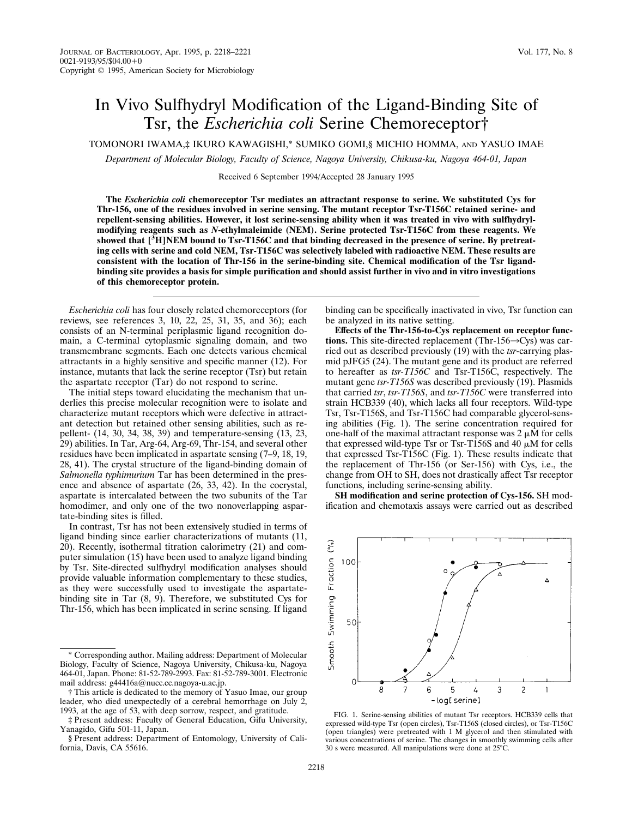## In Vivo Sulfhydryl Modification of the Ligand-Binding Site of Tsr, the *Escherichia coli* Serine Chemoreceptor†

TOMONORI IWAMA,‡ IKURO KAWAGISHI,\* SUMIKO GOMI,§ MICHIO HOMMA, AND YASUO IMAE

*Department of Molecular Biology, Faculty of Science, Nagoya University, Chikusa-ku, Nagoya 464-01, Japan*

Received 6 September 1994/Accepted 28 January 1995

**The** *Escherichia coli* **chemoreceptor Tsr mediates an attractant response to serine. We substituted Cys for Thr-156, one of the residues involved in serine sensing. The mutant receptor Tsr-T156C retained serine- and repellent-sensing abilities. However, it lost serine-sensing ability when it was treated in vivo with sulfhydrylmodifying reagents such as** *N***-ethylmaleimide (NEM). Serine protected Tsr-T156C from these reagents. We showed that [<sup>3</sup> H]NEM bound to Tsr-T156C and that binding decreased in the presence of serine. By pretreating cells with serine and cold NEM, Tsr-T156C was selectively labeled with radioactive NEM. These results are consistent with the location of Thr-156 in the serine-binding site. Chemical modification of the Tsr ligandbinding site provides a basis for simple purification and should assist further in vivo and in vitro investigations of this chemoreceptor protein.**

*Escherichia coli* has four closely related chemoreceptors (for reviews, see references 3, 10, 22, 25, 31, 35, and 36); each consists of an N-terminal periplasmic ligand recognition domain, a C-terminal cytoplasmic signaling domain, and two transmembrane segments. Each one detects various chemical attractants in a highly sensitive and specific manner (12). For instance, mutants that lack the serine receptor (Tsr) but retain the aspartate receptor (Tar) do not respond to serine.

The initial steps toward elucidating the mechanism that underlies this precise molecular recognition were to isolate and characterize mutant receptors which were defective in attractant detection but retained other sensing abilities, such as repellent- (14, 30, 34, 38, 39) and temperature-sensing (13, 23, 29) abilities. In Tar, Arg-64, Arg-69, Thr-154, and several other residues have been implicated in aspartate sensing (7–9, 18, 19, 28, 41). The crystal structure of the ligand-binding domain of *Salmonella typhimurium* Tar has been determined in the presence and absence of aspartate (26, 33, 42). In the cocrystal, aspartate is intercalated between the two subunits of the Tar homodimer, and only one of the two nonoverlapping aspartate-binding sites is filled.

In contrast, Tsr has not been extensively studied in terms of ligand binding since earlier characterizations of mutants (11, 20). Recently, isothermal titration calorimetry (21) and computer simulation (15) have been used to analyze ligand binding by Tsr. Site-directed sulfhydryl modification analyses should provide valuable information complementary to these studies, as they were successfully used to investigate the aspartatebinding site in Tar (8, 9). Therefore, we substituted Cys for Thr-156, which has been implicated in serine sensing. If ligand

binding can be specifically inactivated in vivo, Tsr function can be analyzed in its native setting.

**Effects of the Thr-156-to-Cys replacement on receptor functions.** This site-directed replacement (Thr-156 $\rightarrow$ Cys) was carried out as described previously (19) with the *tsr*-carrying plasmid pJFG5 (24). The mutant gene and its product are referred to hereafter as *tsr-T156C* and Tsr-T156C, respectively. The mutant gene *tsr-T156S* was described previously (19). Plasmids that carried *tsr*, *tsr-T156S*, and *tsr-T156C* were transferred into strain HCB339 (40), which lacks all four receptors. Wild-type Tsr, Tsr-T156S, and Tsr-T156C had comparable glycerol-sensing abilities (Fig. 1). The serine concentration required for one-half of the maximal attractant response was  $2 \mu M$  for cells that expressed wild-type Tsr or Tsr-T156S and 40  $\mu$ M for cells that expressed Tsr-T156C (Fig. 1). These results indicate that the replacement of Thr-156 (or Ser-156) with Cys, i.e., the change from OH to SH, does not drastically affect Tsr receptor functions, including serine-sensing ability.

**SH modification and serine protection of Cys-156.** SH modification and chemotaxis assays were carried out as described



FIG. 1. Serine-sensing abilities of mutant Tsr receptors. HCB339 cells that expressed wild-type Tsr (open circles), Tsr-T156S (closed circles), or Tsr-T156C (open triangles) were pretreated with 1 M glycerol and then stimulated with various concentrations of serine. The changes in smoothly swimming cells after 30 s were measured. All manipulations were done at  $25^{\circ}$ C.

<sup>\*</sup> Corresponding author. Mailing address: Department of Molecular Biology, Faculty of Science, Nagoya University, Chikusa-ku, Nagoya 464-01, Japan. Phone: 81-52-789-2993. Fax: 81-52-789-3001. Electronic mail address: g44416a@nucc.cc.nagoya-u.ac.jp.

<sup>†</sup> This article is dedicated to the memory of Yasuo Imae, our group leader, who died unexpectedly of a cerebral hemorrhage on July 2, 1993, at the age of 53, with deep sorrow, respect, and gratitude.

<sup>‡</sup> Present address: Faculty of General Education, Gifu University, Yanagido, Gifu 501-11, Japan.

<sup>§</sup> Present address: Department of Entomology, University of California, Davis, CA 55616.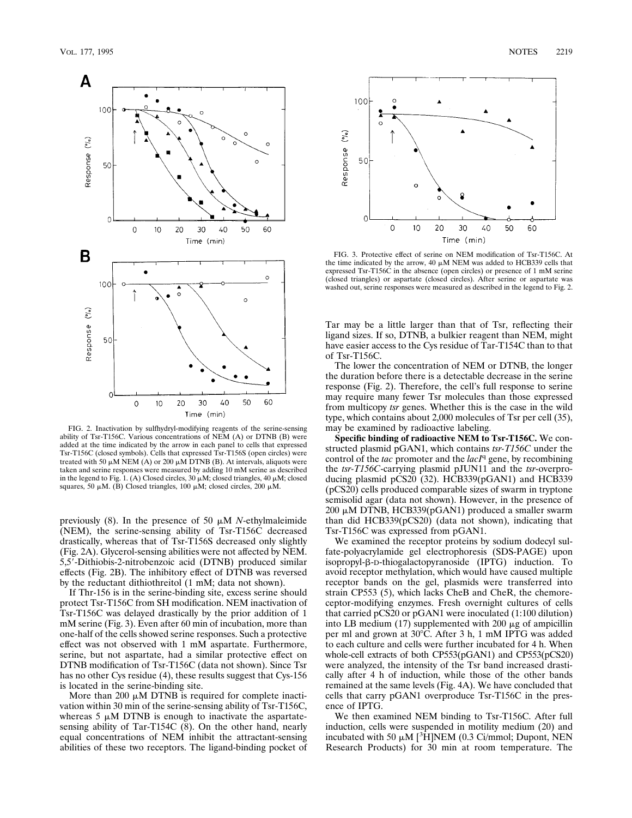

FIG. 2. Inactivation by sulfhydryl-modifying reagents of the serine-sensing ability of Tsr-T156C. Various concentrations of NEM (A) or DTNB (B) were added at the time indicated by the arrow in each panel to cells that expressed Tsr-T156C (closed symbols). Cells that expressed Tsr-T156S (open circles) were<br>treated with 50 μM NEM (A) or 200 μM DTNB (B). At intervals, aliquots were taken and serine responses were measured by adding 10 mM serine as described in the legend to Fig. 1. (A) Closed circles,  $30 \mu$ M; closed triangles,  $40 \mu$ M; closed squares, 50  $\mu$ M. (B) Closed triangles, 100  $\mu$ M; closed circles, 200  $\mu$ M.

previously  $(8)$ . In the presence of 50  $\mu$ M *N*-ethylmaleimide (NEM), the serine-sensing ability of Tsr-T156C decreased drastically, whereas that of Tsr-T156S decreased only slightly (Fig. 2A). Glycerol-sensing abilities were not affected by NEM. 5,5'-Dithiobis-2-nitrobenzoic acid (DTNB) produced similar effects (Fig. 2B). The inhibitory effect of DTNB was reversed by the reductant dithiothreitol (1 mM; data not shown).

If Thr-156 is in the serine-binding site, excess serine should protect Tsr-T156C from SH modification. NEM inactivation of Tsr-T156C was delayed drastically by the prior addition of 1 mM serine (Fig. 3). Even after 60 min of incubation, more than one-half of the cells showed serine responses. Such a protective effect was not observed with 1 mM aspartate. Furthermore, serine, but not aspartate, had a similar protective effect on DTNB modification of Tsr-T156C (data not shown). Since Tsr has no other Cys residue (4), these results suggest that Cys-156 is located in the serine-binding site.

More than 200  $\mu$ M DTNB is required for complete inactivation within 30 min of the serine-sensing ability of Tsr-T156C, whereas  $5 \mu M$  DTNB is enough to inactivate the aspartatesensing ability of Tar-T154C (8). On the other hand, nearly equal concentrations of NEM inhibit the attractant-sensing abilities of these two receptors. The ligand-binding pocket of



FIG. 3. Protective effect of serine on NEM modification of Tsr-T156C. At the time indicated by the arrow, 40  $\mu$ M NEM was added to HCB339 cells that expressed Tsr-T156C in the absence (open circles) or presence of 1 mM serine (closed triangles) or aspartate (closed circles). After serine or aspartate was washed out, serine responses were measured as described in the legend to Fig. 2.

Tar may be a little larger than that of Tsr, reflecting their ligand sizes. If so, DTNB, a bulkier reagent than NEM, might have easier access to the Cys residue of Tar-T154C than to that of Tsr-T156C.

The lower the concentration of NEM or DTNB, the longer the duration before there is a detectable decrease in the serine response (Fig. 2). Therefore, the cell's full response to serine may require many fewer Tsr molecules than those expressed from multicopy *tsr* genes. Whether this is the case in the wild type, which contains about 2,000 molecules of Tsr per cell (35), may be examined by radioactive labeling.

**Specific binding of radioactive NEM to Tsr-T156C.** We constructed plasmid pGAN1, which contains *tsr-T156C* under the control of the *tac* promoter and the *lacI*q gene, by recombining the *tsr-T156C*-carrying plasmid pJUN11 and the *tsr*-overproducing plasmid pCS20 (32). HCB339(pGAN1) and HCB339 (pCS20) cells produced comparable sizes of swarm in tryptone semisolid agar (data not shown). However, in the presence of 200 mM DTNB, HCB339(pGAN1) produced a smaller swarm than did HCB339(pCS20) (data not shown), indicating that Tsr-T156C was expressed from pGAN1.

We examined the receptor proteins by sodium dodecyl sulfate-polyacrylamide gel electrophoresis (SDS-PAGE) upon isopropyl- $\beta$ -D-thiogalactopyranoside (IPTG) induction. To avoid receptor methylation, which would have caused multiple receptor bands on the gel, plasmids were transferred into strain CP553 (5), which lacks CheB and CheR, the chemoreceptor-modifying enzymes. Fresh overnight cultures of cells that carried pCS20 or pGAN1 were inoculated (1:100 dilution) into LB medium (17) supplemented with 200  $\mu$ g of ampicillin per ml and grown at 30°C. After 3 h, 1 mM IPTG was added to each culture and cells were further incubated for 4 h. When whole-cell extracts of both CP553(pGAN1) and CP553(pCS20) were analyzed, the intensity of the Tsr band increased drastically after 4 h of induction, while those of the other bands remained at the same levels (Fig. 4A). We have concluded that cells that carry pGAN1 overproduce Tsr-T156C in the presence of IPTG.

We then examined NEM binding to Tsr-T156C. After full induction, cells were suspended in motility medium (20) and incubated with 50  $\mu$ M [<sup>3</sup>H]NEM (0.3 Ci/mmol; Dupont, NEN Research Products) for 30 min at room temperature. The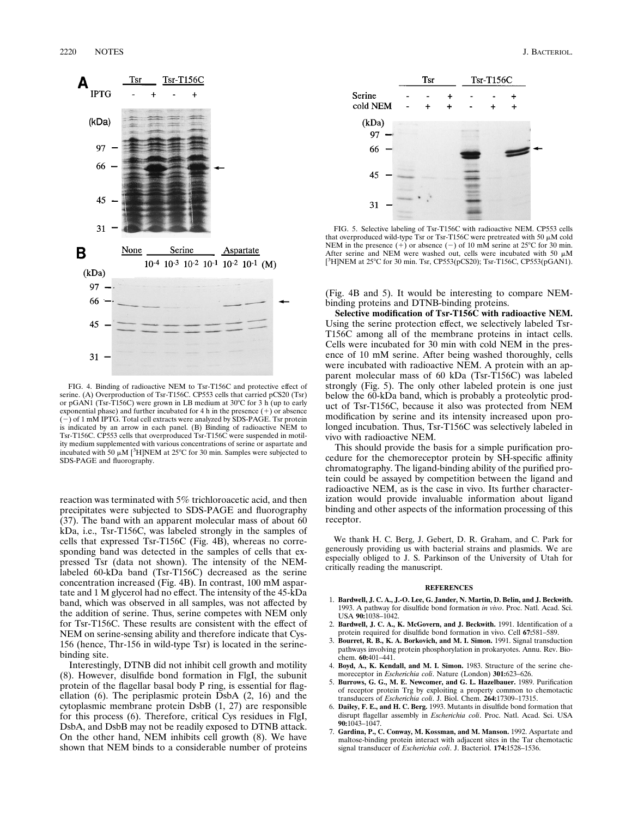

FIG. 4. Binding of radioactive NEM to Tsr-T156C and protective effect of serine. (A) Overproduction of Tsr-T156C. CP553 cells that carried pCS20 (Tsr) or pGAN1 (Tsr-T156C) were grown in LB medium at 30°C for 3 h (up to early exponential phase) and further incubated for 4 h in the presence  $(+)$  or absence  $(-)$  of 1 mM IPTG. Total cell extracts were analyzed by SDS-PAGE. Tsr protein is indicated by an arrow in each panel. (B) Binding of radioactive NEM to Tsr-T156C. CP553 cells that overproduced Tsr-T156C were suspended in motility medium supplemented with various concentrations of serine or aspartate and incubated with  $50 \mu M$  [<sup>3</sup>H]NEM at 25°C for 30 min. Samples were subjected to SDS-PAGE and fluorography.

reaction was terminated with 5% trichloroacetic acid, and then precipitates were subjected to SDS-PAGE and fluorography (37). The band with an apparent molecular mass of about 60 kDa, i.e., Tsr-T156C, was labeled strongly in the samples of cells that expressed Tsr-T156C (Fig. 4B), whereas no corresponding band was detected in the samples of cells that expressed Tsr (data not shown). The intensity of the NEMlabeled 60-kDa band (Tsr-T156C) decreased as the serine concentration increased (Fig. 4B). In contrast, 100 mM aspartate and 1 M glycerol had no effect. The intensity of the 45-kDa band, which was observed in all samples, was not affected by the addition of serine. Thus, serine competes with NEM only for Tsr-T156C. These results are consistent with the effect of NEM on serine-sensing ability and therefore indicate that Cys-156 (hence, Thr-156 in wild-type Tsr) is located in the serinebinding site.

Interestingly, DTNB did not inhibit cell growth and motility (8). However, disulfide bond formation in FlgI, the subunit protein of the flagellar basal body P ring, is essential for flagellation (6). The periplasmic protein DsbA (2, 16) and the cytoplasmic membrane protein DsbB (1, 27) are responsible for this process (6). Therefore, critical Cys residues in FlgI, DsbA, and DsbB may not be readily exposed to DTNB attack. On the other hand, NEM inhibits cell growth (8). We have shown that NEM binds to a considerable number of proteins



FIG. 5. Selective labeling of Tsr-T156C with radioactive NEM. CP553 cells that overproduced wild-type Tsr or Tsr-T156C were pretreated with 50  $\mu$ M cold NEM in the presence (+) or absence (-) of 10 mM serine at 25°C for 30 min.<br>After serine and NEM were washed out, cells were incubated with 50  $\mu$ M [<sup>3</sup>H]NEM at 25°C for 30 min. Tsr, CP553(pCS20); Tsr-T156C, CP553(pGAN1).

(Fig. 4B and 5). It would be interesting to compare NEMbinding proteins and DTNB-binding proteins.

**Selective modification of Tsr-T156C with radioactive NEM.** Using the serine protection effect, we selectively labeled Tsr-T156C among all of the membrane proteins in intact cells. Cells were incubated for 30 min with cold NEM in the presence of 10 mM serine. After being washed thoroughly, cells were incubated with radioactive NEM. A protein with an apparent molecular mass of 60 kDa (Tsr-T156C) was labeled strongly (Fig. 5). The only other labeled protein is one just below the 60-kDa band, which is probably a proteolytic product of Tsr-T156C, because it also was protected from NEM modification by serine and its intensity increased upon prolonged incubation. Thus, Tsr-T156C was selectively labeled in vivo with radioactive NEM.

This should provide the basis for a simple purification procedure for the chemoreceptor protein by SH-specific affinity chromatography. The ligand-binding ability of the purified protein could be assayed by competition between the ligand and radioactive NEM, as is the case in vivo. Its further characterization would provide invaluable information about ligand binding and other aspects of the information processing of this receptor.

We thank H. C. Berg, J. Gebert, D. R. Graham, and C. Park for generously providing us with bacterial strains and plasmids. We are especially obliged to J. S. Parkinson of the University of Utah for critically reading the manuscript.

## **REFERENCES**

- 1. **Bardwell, J. C. A., J.-O. Lee, G. Jander, N. Martin, D. Belin, and J. Beckwith.** 1993. A pathway for disulfide bond formation *in vivo*. Proc. Natl. Acad. Sci. USA **90:**1038–1042.
- 2. **Bardwell, J. C. A., K. McGovern, and J. Beckwith.** 1991. Identification of a protein required for disulfide bond formation in vivo. Cell **67:**581–589.
- 3. **Bourret, R. B., K. A. Borkovich, and M. I. Simon.** 1991. Signal transduction pathways involving protein phosphorylation in prokaryotes. Annu. Rev. Biochem. **60:**401–441.
- 4. **Boyd, A., K. Kendall, and M. I. Simon.** 1983. Structure of the serine chemoreceptor in *Escherichia coli*. Nature (London) **301:**623–626.
- 5. **Burrows, G. G., M. E. Newcomer, and G. L. Hazelbauer.** 1989. Purification of receptor protein Trg by exploiting a property common to chemotactic transducers of *Escherichia coli*. J. Biol. Chem. **264:**17309–17315.
- 6. **Dailey, F. E., and H. C. Berg.** 1993. Mutants in disulfide bond formation that disrupt flagellar assembly in *Escherichia coli*. Proc. Natl. Acad. Sci. USA **90:**1043–1047.
- 7. **Gardina, P., C. Conway, M. Kossman, and M. Manson.** 1992. Aspartate and maltose-binding protein interact with adjacent sites in the Tar chemotactic signal transducer of *Escherichia coli*. J. Bacteriol. **174:**1528–1536.